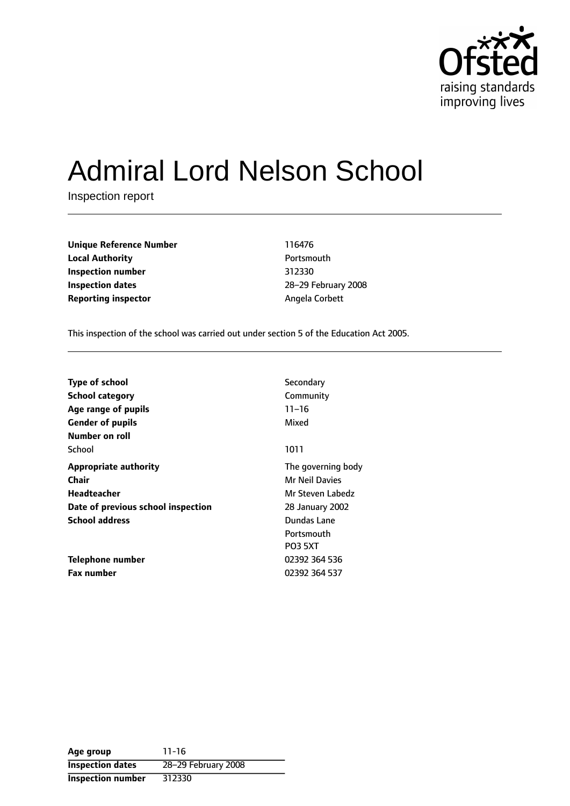

# Admiral Lord Nelson School

Inspection report

**Unique Reference Number** 116476 **Local Authority Contract Contract Portsmouth Inspection number** 312330 **Inspection dates** 28-29 February 2008 **Reporting inspector Angela Corbett** 

This inspection of the school was carried out under section 5 of the Education Act 2005.

| <b>Type of school</b>              | Secondary             |
|------------------------------------|-----------------------|
| <b>School category</b>             | Community             |
| Age range of pupils                | $11 - 16$             |
| <b>Gender of pupils</b>            | Mixed                 |
| Number on roll                     |                       |
| School                             | 1011                  |
| <b>Appropriate authority</b>       | The governing body    |
| Chair                              | <b>Mr Neil Davies</b> |
| Headteacher                        | Mr Steven Labedz      |
| Date of previous school inspection | 28 January 2002       |
| <b>School address</b>              | Dundas Lane           |
|                                    | Portsmouth            |
|                                    | <b>PO3 5XT</b>        |
| Telephone number                   | 02392 364 536         |
| <b>Fax number</b>                  | 02392 364 537         |

**Age group** 11-16 **Inspection dates** 28-29 February 2008 **Inspection number** 312330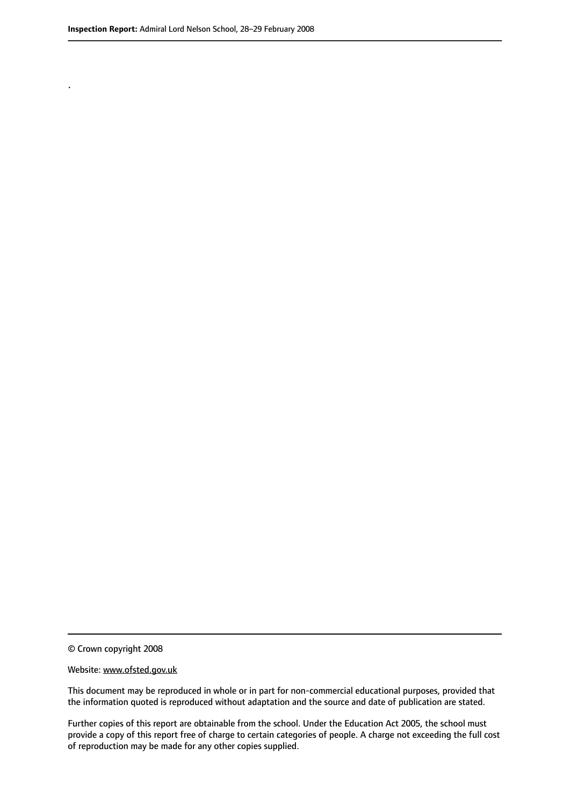.

© Crown copyright 2008

#### Website: www.ofsted.gov.uk

This document may be reproduced in whole or in part for non-commercial educational purposes, provided that the information quoted is reproduced without adaptation and the source and date of publication are stated.

Further copies of this report are obtainable from the school. Under the Education Act 2005, the school must provide a copy of this report free of charge to certain categories of people. A charge not exceeding the full cost of reproduction may be made for any other copies supplied.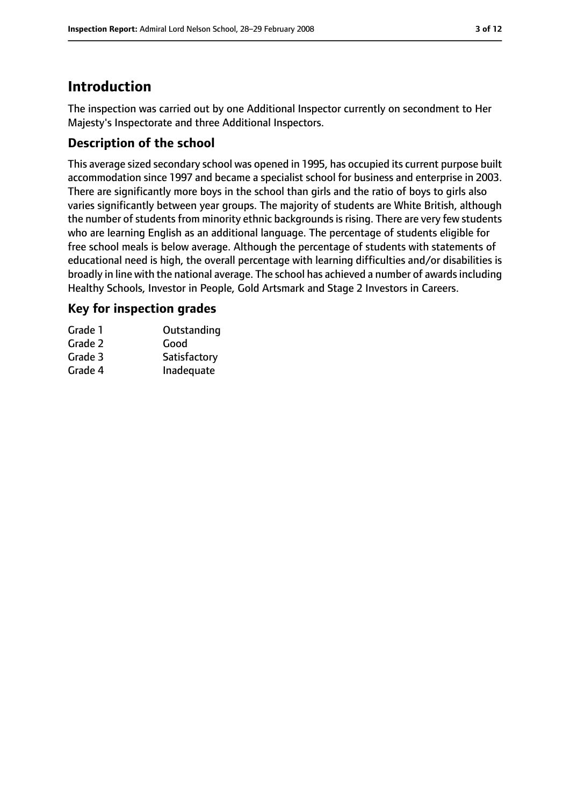# **Introduction**

The inspection was carried out by one Additional Inspector currently on secondment to Her Majesty's Inspectorate and three Additional Inspectors.

# **Description of the school**

This average sized secondary school was opened in 1995, has occupied its current purpose built accommodation since 1997 and became a specialist school for business and enterprise in 2003. There are significantly more boys in the school than girls and the ratio of boys to girls also varies significantly between year groups. The majority of students are White British, although the number of students from minority ethnic backgrounds is rising. There are very few students who are learning English as an additional language. The percentage of students eligible for free school meals is below average. Although the percentage of students with statements of educational need is high, the overall percentage with learning difficulties and/or disabilities is broadly in line with the national average. The school has achieved a number of awardsincluding Healthy Schools, Investor in People, Gold Artsmark and Stage 2 Investors in Careers.

## **Key for inspection grades**

| Grade 1 | Outstanding  |
|---------|--------------|
| Grade 2 | Good         |
| Grade 3 | Satisfactory |
| Grade 4 | Inadequate   |
|         |              |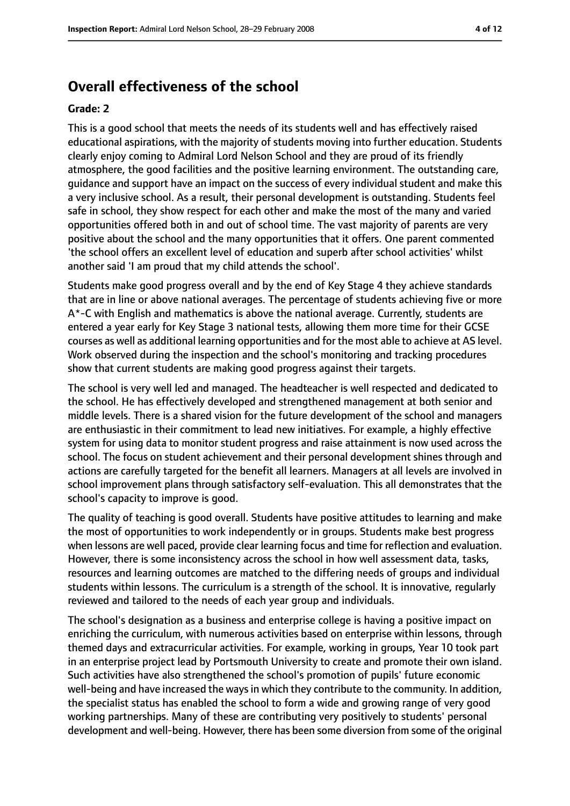# **Overall effectiveness of the school**

#### **Grade: 2**

This is a good school that meets the needs of its students well and has effectively raised educational aspirations, with the majority of students moving into further education. Students clearly enjoy coming to Admiral Lord Nelson School and they are proud of its friendly atmosphere, the good facilities and the positive learning environment. The outstanding care, guidance and support have an impact on the success of every individual student and make this a very inclusive school. As a result, their personal development is outstanding. Students feel safe in school, they show respect for each other and make the most of the many and varied opportunities offered both in and out of school time. The vast majority of parents are very positive about the school and the many opportunities that it offers. One parent commented 'the school offers an excellent level of education and superb after school activities' whilst another said 'I am proud that my child attends the school'.

Students make good progress overall and by the end of Key Stage 4 they achieve standards that are in line or above national averages. The percentage of students achieving five or more A\*-C with English and mathematics is above the national average. Currently, students are entered a year early for Key Stage 3 national tests, allowing them more time for their GCSE courses as well as additional learning opportunities and for the most able to achieve at AS level. Work observed during the inspection and the school's monitoring and tracking procedures show that current students are making good progress against their targets.

The school is very well led and managed. The headteacher is well respected and dedicated to the school. He has effectively developed and strengthened management at both senior and middle levels. There is a shared vision for the future development of the school and managers are enthusiastic in their commitment to lead new initiatives. For example, a highly effective system for using data to monitor student progress and raise attainment is now used across the school. The focus on student achievement and their personal development shines through and actions are carefully targeted for the benefit all learners. Managers at all levels are involved in school improvement plans through satisfactory self-evaluation. This all demonstrates that the school's capacity to improve is good.

The quality of teaching is good overall. Students have positive attitudes to learning and make the most of opportunities to work independently or in groups. Students make best progress when lessons are well paced, provide clear learning focus and time for reflection and evaluation. However, there is some inconsistency across the school in how well assessment data, tasks, resources and learning outcomes are matched to the differing needs of groups and individual students within lessons. The curriculum is a strength of the school. It is innovative, regularly reviewed and tailored to the needs of each year group and individuals.

The school's designation as a business and enterprise college is having a positive impact on enriching the curriculum, with numerous activities based on enterprise within lessons, through themed days and extracurricular activities. For example, working in groups, Year 10 took part in an enterprise project lead by Portsmouth University to create and promote their own island. Such activities have also strengthened the school's promotion of pupils' future economic well-being and have increased the ways in which they contribute to the community. In addition, the specialist status has enabled the school to form a wide and growing range of very good working partnerships. Many of these are contributing very positively to students' personal development and well-being. However, there has been some diversion from some of the original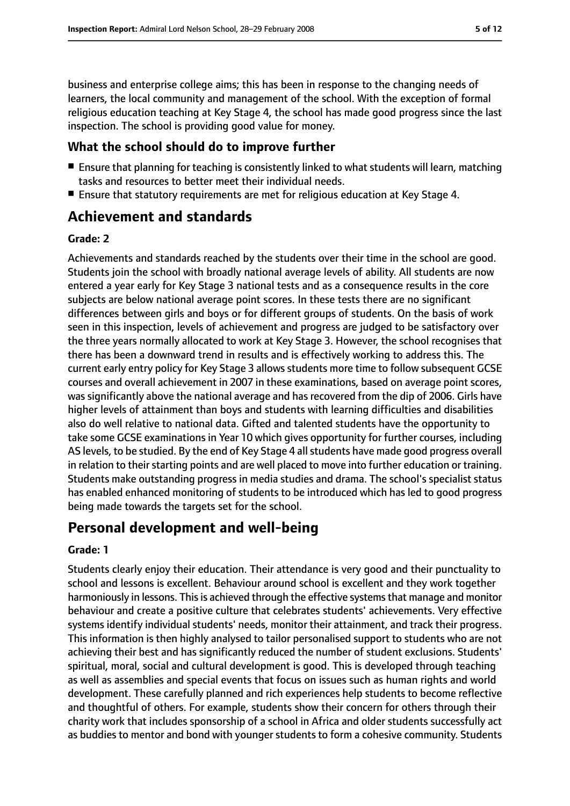business and enterprise college aims; this has been in response to the changing needs of learners, the local community and management of the school. With the exception of formal religious education teaching at Key Stage 4, the school has made good progress since the last inspection. The school is providing good value for money.

#### **What the school should do to improve further**

- Ensure that planning for teaching is consistently linked to what students will learn, matching tasks and resources to better meet their individual needs.
- Ensure that statutory requirements are met for religious education at Key Stage 4.

# **Achievement and standards**

#### **Grade: 2**

Achievements and standards reached by the students over their time in the school are good. Students join the school with broadly national average levels of ability. All students are now entered a year early for Key Stage 3 national tests and as a consequence results in the core subjects are below national average point scores. In these tests there are no significant differences between girls and boys or for different groups of students. On the basis of work seen in this inspection, levels of achievement and progress are judged to be satisfactory over the three years normally allocated to work at Key Stage 3. However, the school recognises that there has been a downward trend in results and is effectively working to address this. The current early entry policy for Key Stage 3 allows students more time to follow subsequent GCSE courses and overall achievement in 2007 in these examinations, based on average point scores, was significantly above the national average and has recovered from the dip of 2006. Girls have higher levels of attainment than boys and students with learning difficulties and disabilities also do well relative to national data. Gifted and talented students have the opportunity to take some GCSE examinations in Year 10 which gives opportunity for further courses, including AS levels, to be studied. By the end of Key Stage 4 all students have made good progress overall in relation to their starting points and are well placed to move into further education or training. Students make outstanding progress in media studies and drama. The school's specialist status has enabled enhanced monitoring of students to be introduced which has led to good progress being made towards the targets set for the school.

# **Personal development and well-being**

#### **Grade: 1**

Students clearly enjoy their education. Their attendance is very good and their punctuality to school and lessons is excellent. Behaviour around school is excellent and they work together harmoniously in lessons. This is achieved through the effective systems that manage and monitor behaviour and create a positive culture that celebrates students' achievements. Very effective systems identify individual students' needs, monitor their attainment, and track their progress. This information is then highly analysed to tailor personalised support to students who are not achieving their best and has significantly reduced the number of student exclusions. Students' spiritual, moral, social and cultural development is good. This is developed through teaching as well as assemblies and special events that focus on issues such as human rights and world development. These carefully planned and rich experiences help students to become reflective and thoughtful of others. For example, students show their concern for others through their charity work that includes sponsorship of a school in Africa and older students successfully act as buddies to mentor and bond with younger students to form a cohesive community. Students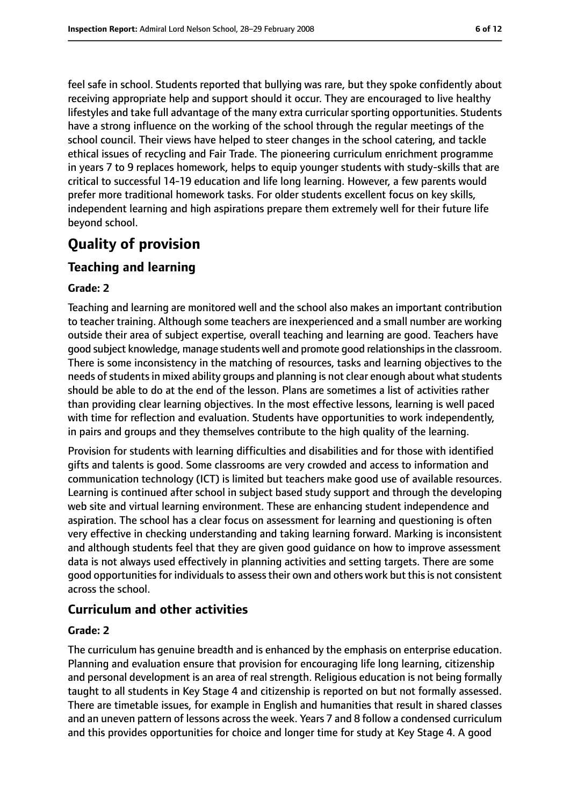feel safe in school. Students reported that bullying was rare, but they spoke confidently about receiving appropriate help and support should it occur. They are encouraged to live healthy lifestyles and take full advantage of the many extra curricular sporting opportunities. Students have a strong influence on the working of the school through the regular meetings of the school council. Their views have helped to steer changes in the school catering, and tackle ethical issues of recycling and Fair Trade. The pioneering curriculum enrichment programme in years 7 to 9 replaces homework, helps to equip younger students with study-skills that are critical to successful 14-19 education and life long learning. However, a few parents would prefer more traditional homework tasks. For older students excellent focus on key skills, independent learning and high aspirations prepare them extremely well for their future life beyond school.

# **Quality of provision**

## **Teaching and learning**

#### **Grade: 2**

Teaching and learning are monitored well and the school also makes an important contribution to teacher training. Although some teachers are inexperienced and a small number are working outside their area of subject expertise, overall teaching and learning are good. Teachers have good subject knowledge, manage students well and promote good relationshipsin the classroom. There is some inconsistency in the matching of resources, tasks and learning objectives to the needs of students in mixed ability groups and planning is not clear enough about what students should be able to do at the end of the lesson. Plans are sometimes a list of activities rather than providing clear learning objectives. In the most effective lessons, learning is well paced with time for reflection and evaluation. Students have opportunities to work independently, in pairs and groups and they themselves contribute to the high quality of the learning.

Provision for students with learning difficulties and disabilities and for those with identified gifts and talents is good. Some classrooms are very crowded and access to information and communication technology (ICT) is limited but teachers make good use of available resources. Learning is continued after school in subject based study support and through the developing web site and virtual learning environment. These are enhancing student independence and aspiration. The school has a clear focus on assessment for learning and questioning is often very effective in checking understanding and taking learning forward. Marking is inconsistent and although students feel that they are given good guidance on how to improve assessment data is not always used effectively in planning activities and setting targets. There are some good opportunities for individuals to assess their own and others work but this is not consistent across the school.

#### **Curriculum and other activities**

#### **Grade: 2**

The curriculum has genuine breadth and is enhanced by the emphasis on enterprise education. Planning and evaluation ensure that provision for encouraging life long learning, citizenship and personal development is an area of real strength. Religious education is not being formally taught to all students in Key Stage 4 and citizenship is reported on but not formally assessed. There are timetable issues, for example in English and humanities that result in shared classes and an uneven pattern of lessons across the week. Years 7 and 8 follow a condensed curriculum and this provides opportunities for choice and longer time for study at Key Stage 4. A good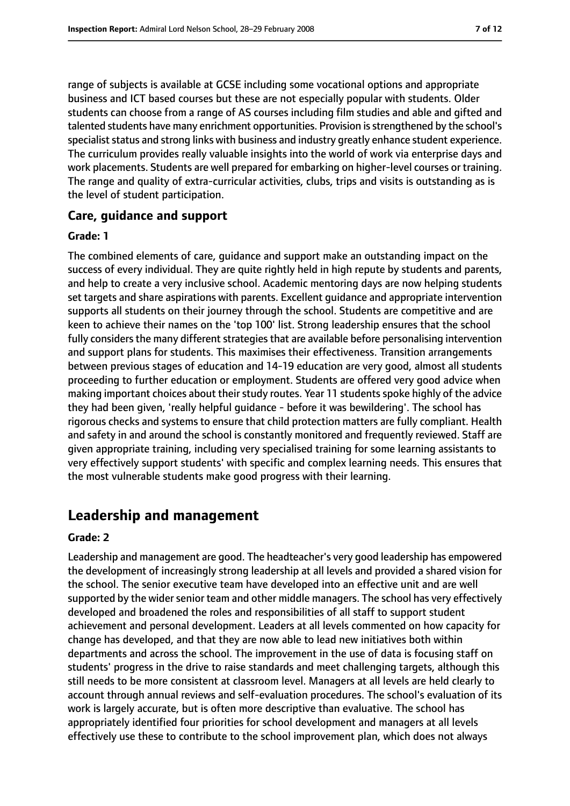range of subjects is available at GCSE including some vocational options and appropriate business and ICT based courses but these are not especially popular with students. Older students can choose from a range of AS courses including film studies and able and gifted and talented students have many enrichment opportunities. Provision is strengthened by the school's specialist status and strong links with business and industry greatly enhance student experience. The curriculum provides really valuable insights into the world of work via enterprise days and work placements. Students are well prepared for embarking on higher-level courses or training. The range and quality of extra-curricular activities, clubs, trips and visits is outstanding as is the level of student participation.

#### **Care, guidance and support**

#### **Grade: 1**

The combined elements of care, guidance and support make an outstanding impact on the success of every individual. They are quite rightly held in high repute by students and parents, and help to create a very inclusive school. Academic mentoring days are now helping students set targets and share aspirations with parents. Excellent guidance and appropriate intervention supports all students on their journey through the school. Students are competitive and are keen to achieve their names on the 'top 100' list. Strong leadership ensures that the school fully considers the many different strategies that are available before personalising intervention and support plans for students. This maximises their effectiveness. Transition arrangements between previous stages of education and 14-19 education are very good, almost all students proceeding to further education or employment. Students are offered very good advice when making important choices about their study routes. Year 11 students spoke highly of the advice they had been given, 'really helpful guidance - before it was bewildering'. The school has rigorous checks and systems to ensure that child protection matters are fully compliant. Health and safety in and around the school is constantly monitored and frequently reviewed. Staff are given appropriate training, including very specialised training for some learning assistants to very effectively support students' with specific and complex learning needs. This ensures that the most vulnerable students make good progress with their learning.

# **Leadership and management**

#### **Grade: 2**

Leadership and management are good. The headteacher's very good leadership has empowered the development of increasingly strong leadership at all levels and provided a shared vision for the school. The senior executive team have developed into an effective unit and are well supported by the wider senior team and other middle managers. The school has very effectively developed and broadened the roles and responsibilities of all staff to support student achievement and personal development. Leaders at all levels commented on how capacity for change has developed, and that they are now able to lead new initiatives both within departments and across the school. The improvement in the use of data is focusing staff on students' progress in the drive to raise standards and meet challenging targets, although this still needs to be more consistent at classroom level. Managers at all levels are held clearly to account through annual reviews and self-evaluation procedures. The school's evaluation of its work is largely accurate, but is often more descriptive than evaluative. The school has appropriately identified four priorities for school development and managers at all levels effectively use these to contribute to the school improvement plan, which does not always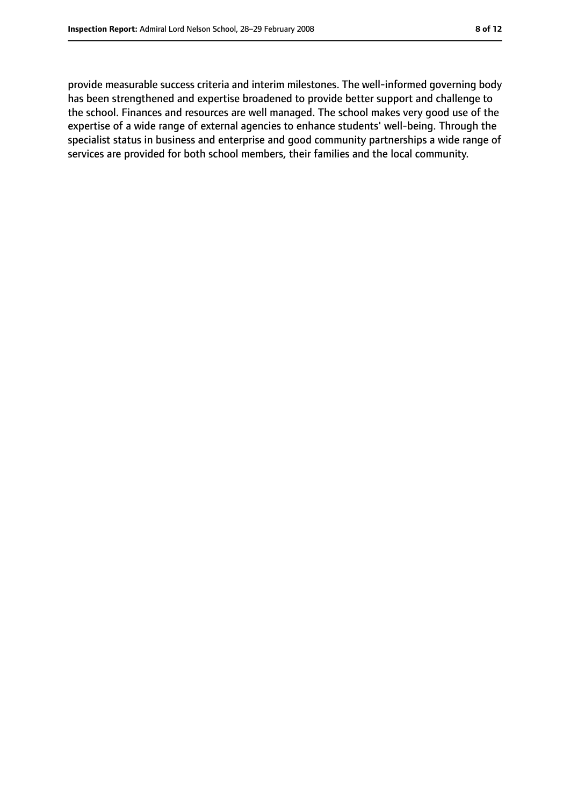provide measurable success criteria and interim milestones. The well-informed governing body has been strengthened and expertise broadened to provide better support and challenge to the school. Finances and resources are well managed. The school makes very good use of the expertise of a wide range of external agencies to enhance students' well-being. Through the specialist status in business and enterprise and good community partnerships a wide range of services are provided for both school members, their families and the local community.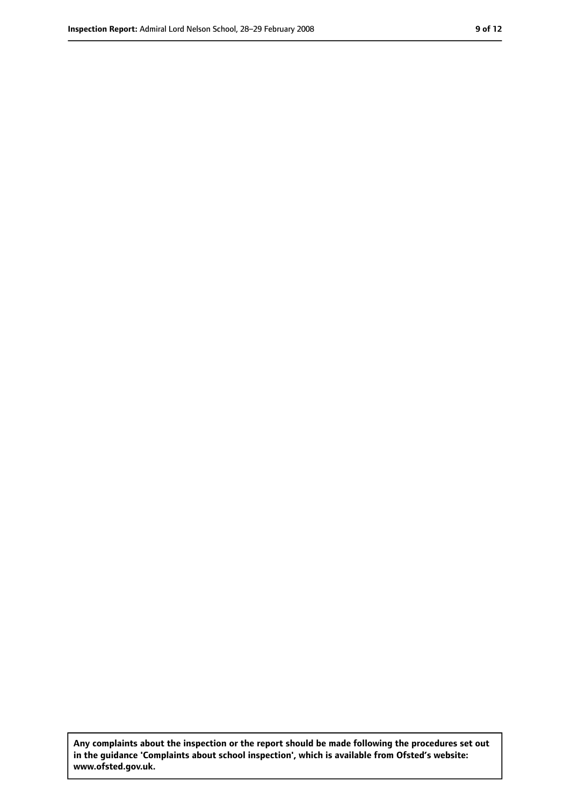**Any complaints about the inspection or the report should be made following the procedures set out in the guidance 'Complaints about school inspection', which is available from Ofsted's website: www.ofsted.gov.uk.**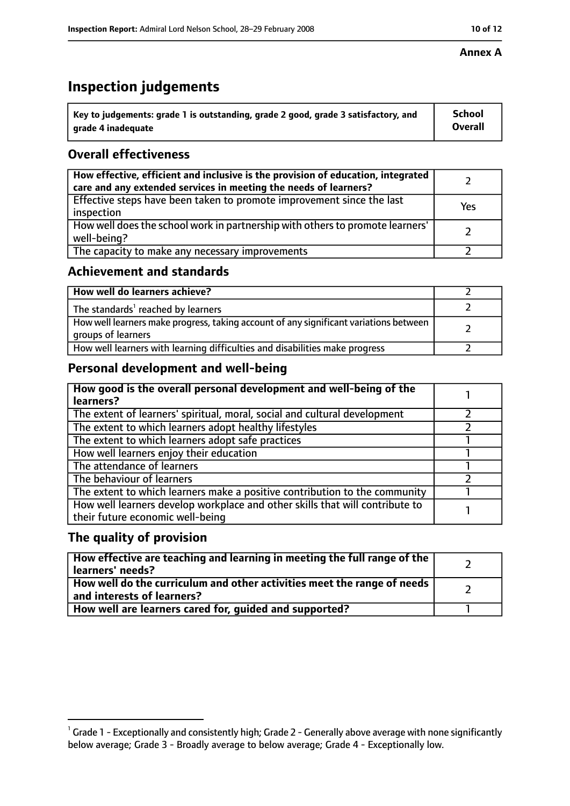# **Inspection judgements**

| $^{\backprime}$ Key to judgements: grade 1 is outstanding, grade 2 good, grade 3 satisfactory, and | <b>School</b>  |
|----------------------------------------------------------------------------------------------------|----------------|
| arade 4 inadeguate                                                                                 | <b>Overall</b> |

## **Overall effectiveness**

| How effective, efficient and inclusive is the provision of education, integrated<br>care and any extended services in meeting the needs of learners? |     |
|------------------------------------------------------------------------------------------------------------------------------------------------------|-----|
| Effective steps have been taken to promote improvement since the last<br>inspection                                                                  | Yes |
| How well does the school work in partnership with others to promote learners'<br>well-being?                                                         |     |
| The capacity to make any necessary improvements                                                                                                      |     |

## **Achievement and standards**

| How well do learners achieve?                                                                               |  |
|-------------------------------------------------------------------------------------------------------------|--|
| The standards <sup>1</sup> reached by learners                                                              |  |
| How well learners make progress, taking account of any significant variations between<br>groups of learners |  |
| How well learners with learning difficulties and disabilities make progress                                 |  |

# **Personal development and well-being**

| How good is the overall personal development and well-being of the<br>learners?                                  |  |
|------------------------------------------------------------------------------------------------------------------|--|
| The extent of learners' spiritual, moral, social and cultural development                                        |  |
| The extent to which learners adopt healthy lifestyles                                                            |  |
| The extent to which learners adopt safe practices                                                                |  |
| How well learners enjoy their education                                                                          |  |
| The attendance of learners                                                                                       |  |
| The behaviour of learners                                                                                        |  |
| The extent to which learners make a positive contribution to the community                                       |  |
| How well learners develop workplace and other skills that will contribute to<br>their future economic well-being |  |

### **The quality of provision**

| $\mid$ How effective are teaching and learning in meeting the full range of the $\mid$<br>learners' needs? |  |
|------------------------------------------------------------------------------------------------------------|--|
| How well do the curriculum and other activities meet the range of needs  <br>and interests of learners?    |  |
| How well are learners cared for, guided and supported?                                                     |  |

#### **Annex A**

 $^1$  Grade 1 - Exceptionally and consistently high; Grade 2 - Generally above average with none significantly below average; Grade 3 - Broadly average to below average; Grade 4 - Exceptionally low.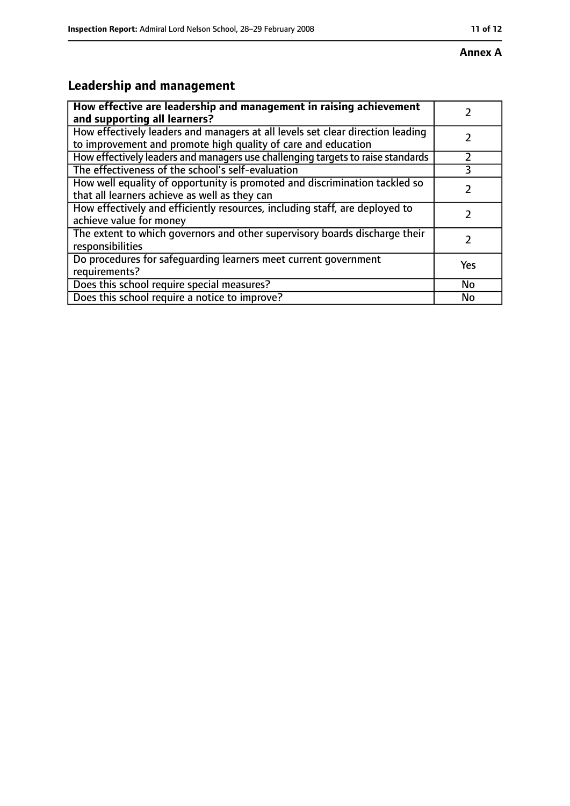# **Leadership and management**

| How effective are leadership and management in raising achievement              |     |
|---------------------------------------------------------------------------------|-----|
| and supporting all learners?                                                    |     |
| How effectively leaders and managers at all levels set clear direction leading  |     |
| to improvement and promote high quality of care and education                   |     |
| How effectively leaders and managers use challenging targets to raise standards |     |
| The effectiveness of the school's self-evaluation                               | 3   |
| How well equality of opportunity is promoted and discrimination tackled so      |     |
| that all learners achieve as well as they can                                   |     |
| How effectively and efficiently resources, including staff, are deployed to     | 7   |
| achieve value for money                                                         |     |
| The extent to which governors and other supervisory boards discharge their      |     |
| responsibilities                                                                |     |
| Do procedures for safequarding learners meet current government                 | Yes |
| requirements?                                                                   |     |
| Does this school require special measures?                                      | No  |
| Does this school require a notice to improve?                                   | No  |